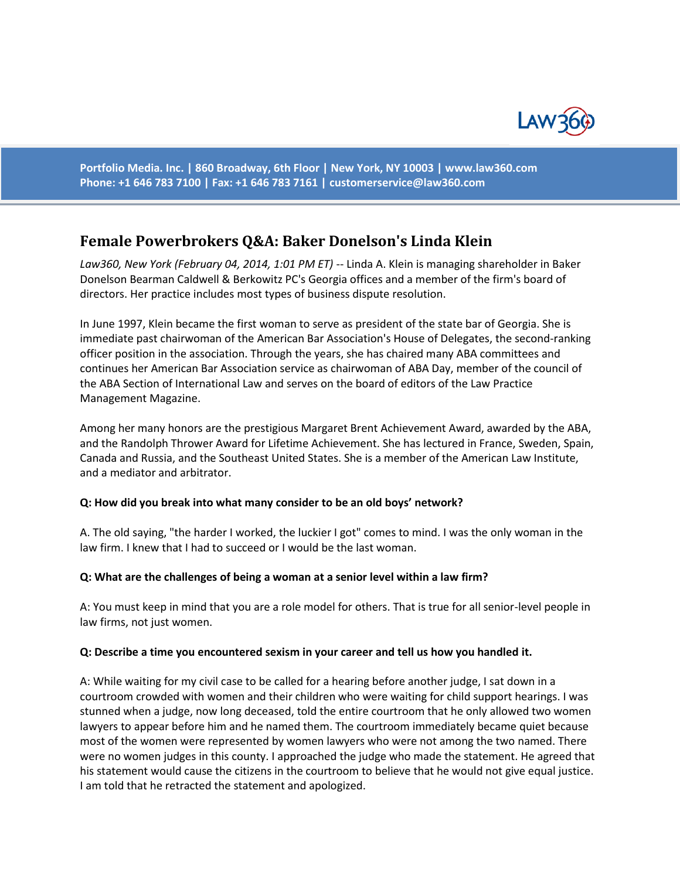

**Portfolio Media. Inc. | 860 Broadway, 6th Floor | New York, NY 10003 | www.law360.com Phone: +1 646 783 7100 | Fax: +1 646 783 7161 | [customerservice@law360.com](mailto:customerservice@law360.com)**

# **Female Powerbrokers Q&A: Baker Donelson's Linda Klein**

Law360, New York (February 04, 2014, 1:01 PM ET) -- Linda A. Klein is managing shareholder in Baker Donelson Bearman Caldwell & Berkowitz PC's Georgia offices and a member of the firm's board of directors. Her practice includes most types of business dispute resolution.

In June 1997, Klein became the first woman to serve as president of the state bar of Georgia. She is immediate past chairwoman of the American Bar Association's House of Delegates, the second-ranking officer position in the association. Through the years, she has chaired many ABA committees and continues her American Bar Association service as chairwoman of ABA Day, member of the council of the ABA Section of International Law and serves on the board of editors of the Law Practice Management Magazine.

Among her many honors are the prestigious Margaret Brent Achievement Award, awarded by the ABA, and the Randolph Thrower Award for Lifetime Achievement. She has lectured in France, Sweden, Spain, Canada and Russia, and the Southeast United States. She is a member of the American Law Institute, and a mediator and arbitrator.

## **Q: How did you break into what many consider to be an old boys' network?**

A. The old saying, "the harder I worked, the luckier I got" comes to mind. I was the only woman in the law firm. I knew that I had to succeed or I would be the last woman.

#### **Q: What are the challenges of being a woman at a senior level within a law firm?**

A: You must keep in mind that you are a role model for others. That is true for all senior-level people in law firms, not just women.

#### **Q: Describe a time you encountered sexism in your career and tell us how you handled it.**

A: While waiting for my civil case to be called for a hearing before another judge, I sat down in a courtroom crowded with women and their children who were waiting for child support hearings. I was stunned when a judge, now long deceased, told the entire courtroom that he only allowed two women lawyers to appear before him and he named them. The courtroom immediately became quiet because most of the women were represented by women lawyers who were not among the two named. There were no women judges in this county. I approached the judge who made the statement. He agreed that his statement would cause the citizens in the courtroom to believe that he would not give equal justice. I am told that he retracted the statement and apologized.